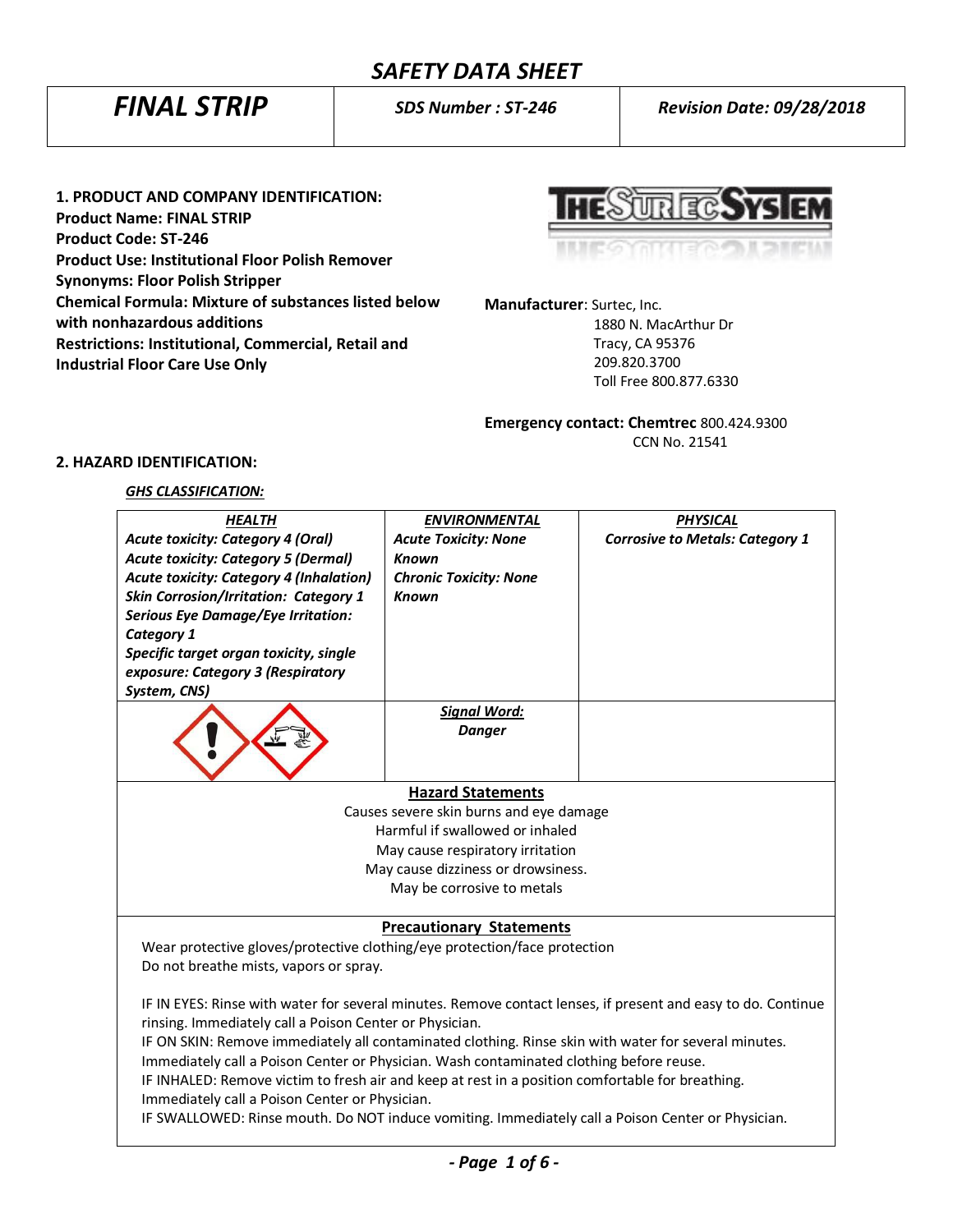*FINAL STRIP SDS Number : ST-246 Revision Date: 09/28/2018*

**1. PRODUCT AND COMPANY IDENTIFICATION: Product Name: FINAL STRIP Product Code: ST-246 Product Use: Institutional Floor Polish Remover Synonyms: Floor Polish Stripper Chemical Formula: Mixture of substances listed below with nonhazardous additions Restrictions: Institutional, Commercial, Retail and Industrial Floor Care Use Only**

 $\mathbb{R}^n$ 

**Manufacturer**: Surtec, Inc.

 1880 N. MacArthur Dr Tracy, CA 95376 209.820.3700 Toll Free 800.877.6330

**Emergency contact: Chemtrec** 800.424.9300 CCN No. 21541

# **2. HAZARD IDENTIFICATION:**

## *GHS CLASSIFICATION:*

| <b>HEALTH</b>                                                                                                | <b>ENVIRONMENTAL</b>                    | <b>PHYSICAL</b>                        |  |
|--------------------------------------------------------------------------------------------------------------|-----------------------------------------|----------------------------------------|--|
| <b>Acute toxicity: Category 4 (Oral)</b>                                                                     | <b>Acute Toxicity: None</b>             | <b>Corrosive to Metals: Category 1</b> |  |
| <b>Acute toxicity: Category 5 (Dermal)</b>                                                                   | <b>Known</b>                            |                                        |  |
| <b>Acute toxicity: Category 4 (Inhalation)</b>                                                               | <b>Chronic Toxicity: None</b>           |                                        |  |
| <b>Skin Corrosion/Irritation: Category 1</b>                                                                 | <b>Known</b>                            |                                        |  |
| <b>Serious Eye Damage/Eye Irritation:</b>                                                                    |                                         |                                        |  |
| <b>Category 1</b>                                                                                            |                                         |                                        |  |
| Specific target organ toxicity, single                                                                       |                                         |                                        |  |
| exposure: Category 3 (Respiratory                                                                            |                                         |                                        |  |
| System, CNS)                                                                                                 |                                         |                                        |  |
|                                                                                                              | <b>Signal Word:</b>                     |                                        |  |
|                                                                                                              | <b>Danger</b>                           |                                        |  |
|                                                                                                              |                                         |                                        |  |
|                                                                                                              |                                         |                                        |  |
|                                                                                                              | <b>Hazard Statements</b>                |                                        |  |
|                                                                                                              | Causes severe skin burns and eye damage |                                        |  |
|                                                                                                              | Harmful if swallowed or inhaled         |                                        |  |
| May cause respiratory irritation                                                                             |                                         |                                        |  |
| May cause dizziness or drowsiness.                                                                           |                                         |                                        |  |
| May be corrosive to metals                                                                                   |                                         |                                        |  |
|                                                                                                              |                                         |                                        |  |
|                                                                                                              | <b>Precautionary Statements</b>         |                                        |  |
| Wear protective gloves/protective clothing/eye protection/face protection                                    |                                         |                                        |  |
| Do not breathe mists, vapors or spray.                                                                       |                                         |                                        |  |
|                                                                                                              |                                         |                                        |  |
| IF IN EYES: Rinse with water for several minutes. Remove contact lenses, if present and easy to do. Continue |                                         |                                        |  |
| rinsing. Immediately call a Poison Center or Physician.                                                      |                                         |                                        |  |
| IF ON SKIN: Remove immediately all contaminated clothing. Rinse skin with water for several minutes.         |                                         |                                        |  |
| Immediately call a Poison Center or Physician. Wash contaminated clothing before reuse.                      |                                         |                                        |  |
| IF INHALED: Remove victim to fresh air and keep at rest in a position comfortable for breathing.             |                                         |                                        |  |
| Immediately call a Poison Center or Physician.                                                               |                                         |                                        |  |
| IF SWALLOWED: Rinse mouth. Do NOT induce vomiting. Immediately call a Poison Center or Physician.            |                                         |                                        |  |
|                                                                                                              |                                         |                                        |  |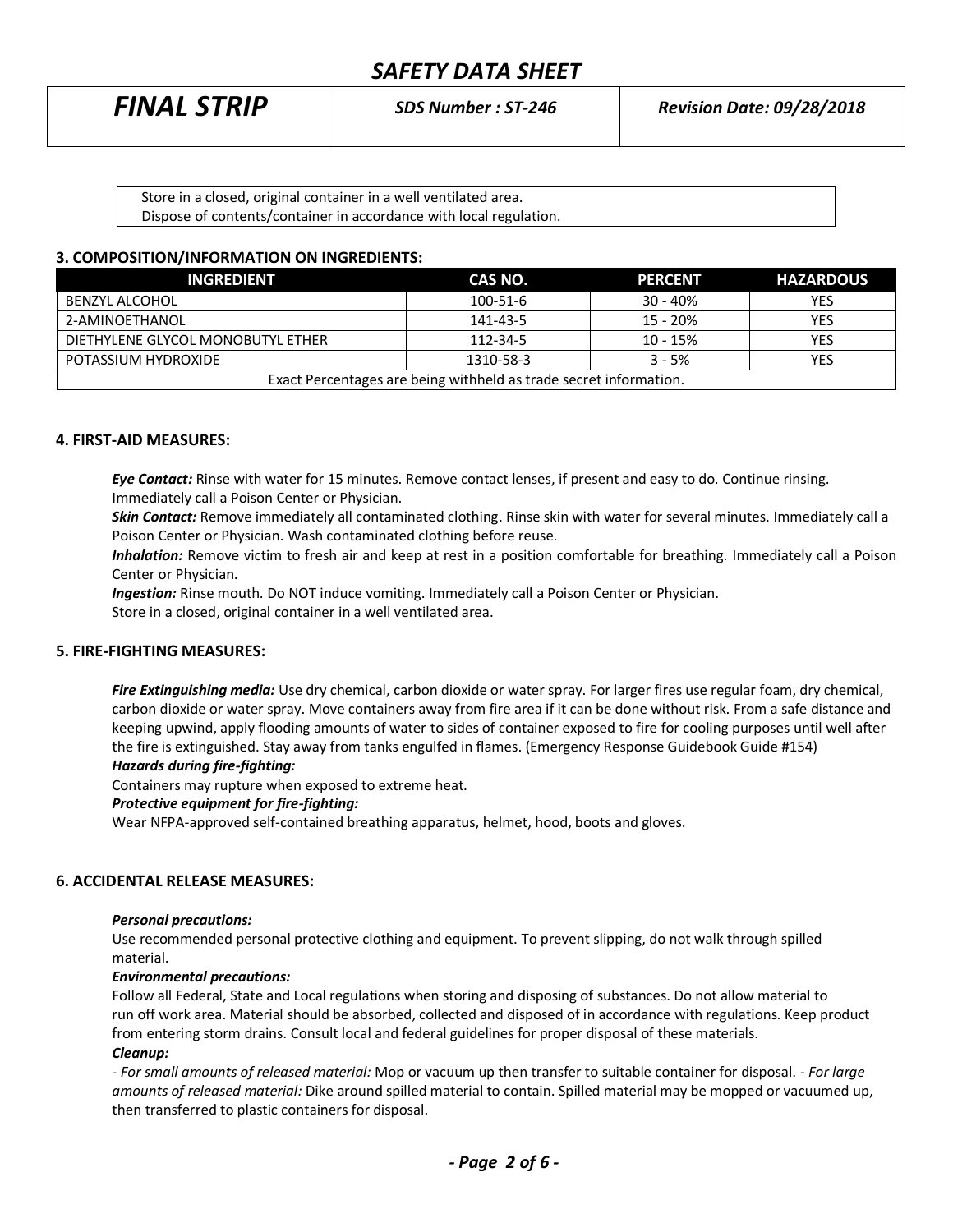| <b>FINAL STRIP</b> | <b>SDS Number: ST-246</b> | <b>Revision Date: 09/28/2018</b> |  |
|--------------------|---------------------------|----------------------------------|--|
|                    |                           |                                  |  |

| Store in a closed, original container in a well ventilated area.   |  |
|--------------------------------------------------------------------|--|
| Dispose of contents/container in accordance with local regulation. |  |

### **3. COMPOSITION/INFORMATION ON INGREDIENTS:**

| <b>INGREDIENT</b>                                                 | CAS NO.        | <b>PERCENT</b> | <b>HAZARDOUS</b> |
|-------------------------------------------------------------------|----------------|----------------|------------------|
| BENZYL ALCOHOL                                                    | $100 - 51 - 6$ | $30 - 40%$     | <b>YES</b>       |
| 2-AMINOETHANOL                                                    | 141-43-5       | $15 - 20%$     | YES              |
| DIETHYLENE GLYCOL MONOBUTYL ETHER                                 | $112 - 34 - 5$ | $10 - 15%$     | YES              |
| POTASSIUM HYDROXIDE                                               | 1310-58-3      | $3 - 5%$       | <b>YES</b>       |
| Exact Percentages are being withheld as trade secret information. |                |                |                  |

## **4. FIRST-AID MEASURES:**

*Eye Contact:* Rinse with water for 15 minutes. Remove contact lenses, if present and easy to do. Continue rinsing. Immediately call a Poison Center or Physician.

*Skin Contact:* Remove immediately all contaminated clothing. Rinse skin with water for several minutes. Immediately call a Poison Center or Physician. Wash contaminated clothing before reuse.

 *Inhalation:* Remove victim to fresh air and keep at rest in a position comfortable for breathing. Immediately call a Poison Center or Physician.

*Ingestion:* Rinse mouth. Do NOT induce vomiting. Immediately call a Poison Center or Physician.

Store in a closed, original container in a well ventilated area.

### **5. FIRE-FIGHTING MEASURES:**

*Fire Extinguishing media:* Use dry chemical, carbon dioxide or water spray. For larger fires use regular foam, dry chemical, carbon dioxide or water spray. Move containers away from fire area if it can be done without risk. From a safe distance and keeping upwind, apply flooding amounts of water to sides of container exposed to fire for cooling purposes until well after the fire is extinguished. Stay away from tanks engulfed in flames. (Emergency Response Guidebook Guide #154) *Hazards during fire-fighting:*

Containers may rupture when exposed to extreme heat.

#### *Protective equipment for fire-fighting:*

Wear NFPA-approved self-contained breathing apparatus, helmet, hood, boots and gloves.

### **6. ACCIDENTAL RELEASE MEASURES:**

#### *Personal precautions:*

Use recommended personal protective clothing and equipment. To prevent slipping, do not walk through spilled material.

#### *Environmental precautions:*

Follow all Federal, State and Local regulations when storing and disposing of substances. Do not allow material to run off work area. Material should be absorbed, collected and disposed of in accordance with regulations. Keep product from entering storm drains. Consult local and federal guidelines for proper disposal of these materials. *Cleanup:*

*- For small amounts of released material:* Mop or vacuum up then transfer to suitable container for disposal. - *For large amounts of released material:* Dike around spilled material to contain. Spilled material may be mopped or vacuumed up, then transferred to plastic containers for disposal.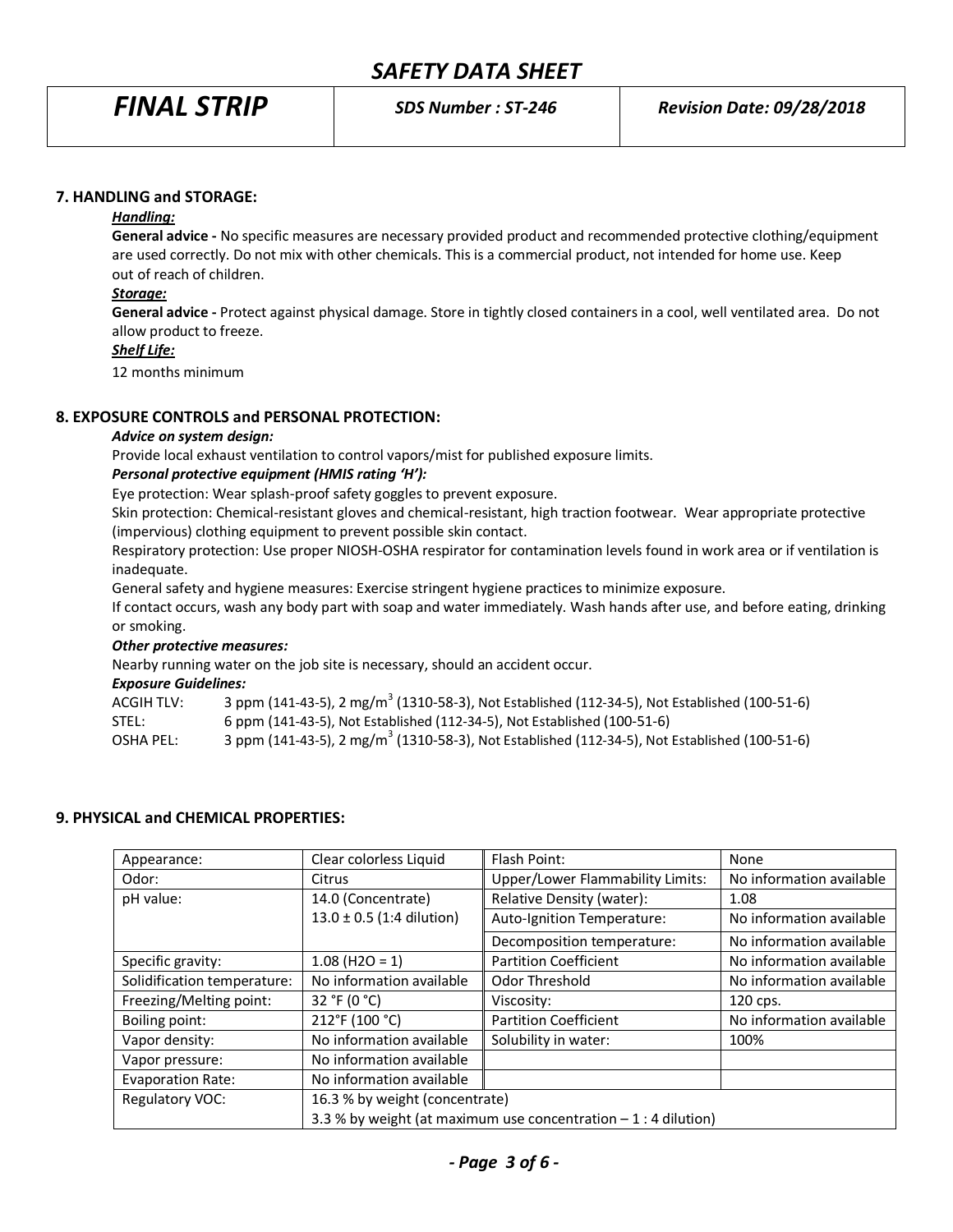### **7. HANDLING and STORAGE:**

# *Handling:*

**General advice -** No specific measures are necessary provided product and recommended protective clothing/equipment are used correctly. Do not mix with other chemicals. This is a commercial product, not intended for home use. Keep out of reach of children.

### *Storage:*

**General advice -** Protect against physical damage. Store in tightly closed containers in a cool, well ventilated area. Do not allow product to freeze.

#### *Shelf Life:*

12 months minimum

### **8. EXPOSURE CONTROLS and PERSONAL PROTECTION:**

#### *Advice on system design:*

Provide local exhaust ventilation to control vapors/mist for published exposure limits.

### *Personal protective equipment (HMIS rating 'H'):*

Eye protection: Wear splash-proof safety goggles to prevent exposure.

Skin protection: Chemical-resistant gloves and chemical-resistant, high traction footwear. Wear appropriate protective (impervious) clothing equipment to prevent possible skin contact.

Respiratory protection: Use proper NIOSH-OSHA respirator for contamination levels found in work area or if ventilation is inadequate.

General safety and hygiene measures: Exercise stringent hygiene practices to minimize exposure.

If contact occurs, wash any body part with soap and water immediately. Wash hands after use, and before eating, drinking or smoking.

### *Other protective measures:*

Nearby running water on the job site is necessary, should an accident occur.

#### *Exposure Guidelines:*

| ACGIH TLV: | 3 ppm (141-43-5), 2 mg/m <sup>3</sup> (1310-58-3), Not Established (112-34-5), Not Established (100-51-6) |
|------------|-----------------------------------------------------------------------------------------------------------|
| STEL:      | 6 ppm (141-43-5), Not Established (112-34-5), Not Established (100-51-6)                                  |
| OSHA PEL:  | 3 ppm (141-43-5), 2 mg/m <sup>3</sup> (1310-58-3), Not Established (112-34-5), Not Established (100-51-6) |

### **9. PHYSICAL and CHEMICAL PROPERTIES:**

| Appearance:                 | Clear colorless Liquid                                           | Flash Point:                     | None                     |
|-----------------------------|------------------------------------------------------------------|----------------------------------|--------------------------|
| Odor:                       | <b>Citrus</b>                                                    | Upper/Lower Flammability Limits: | No information available |
| pH value:                   | 14.0 (Concentrate)                                               | Relative Density (water):        | 1.08                     |
|                             | $13.0 \pm 0.5$ (1:4 dilution)                                    | Auto-Ignition Temperature:       | No information available |
|                             |                                                                  | Decomposition temperature:       | No information available |
| Specific gravity:           | $1.08$ (H2O = 1)                                                 | <b>Partition Coefficient</b>     | No information available |
| Solidification temperature: | No information available                                         | Odor Threshold                   | No information available |
| Freezing/Melting point:     | 32 °F (0 °C)                                                     | Viscosity:                       | 120 cps.                 |
| Boiling point:              | 212°F (100 °C)                                                   | <b>Partition Coefficient</b>     | No information available |
| Vapor density:              | No information available                                         | Solubility in water:             | 100%                     |
| Vapor pressure:             | No information available                                         |                                  |                          |
| Evaporation Rate:           | No information available                                         |                                  |                          |
| Regulatory VOC:             | 16.3 % by weight (concentrate)                                   |                                  |                          |
|                             | 3.3 % by weight (at maximum use concentration $-1$ : 4 dilution) |                                  |                          |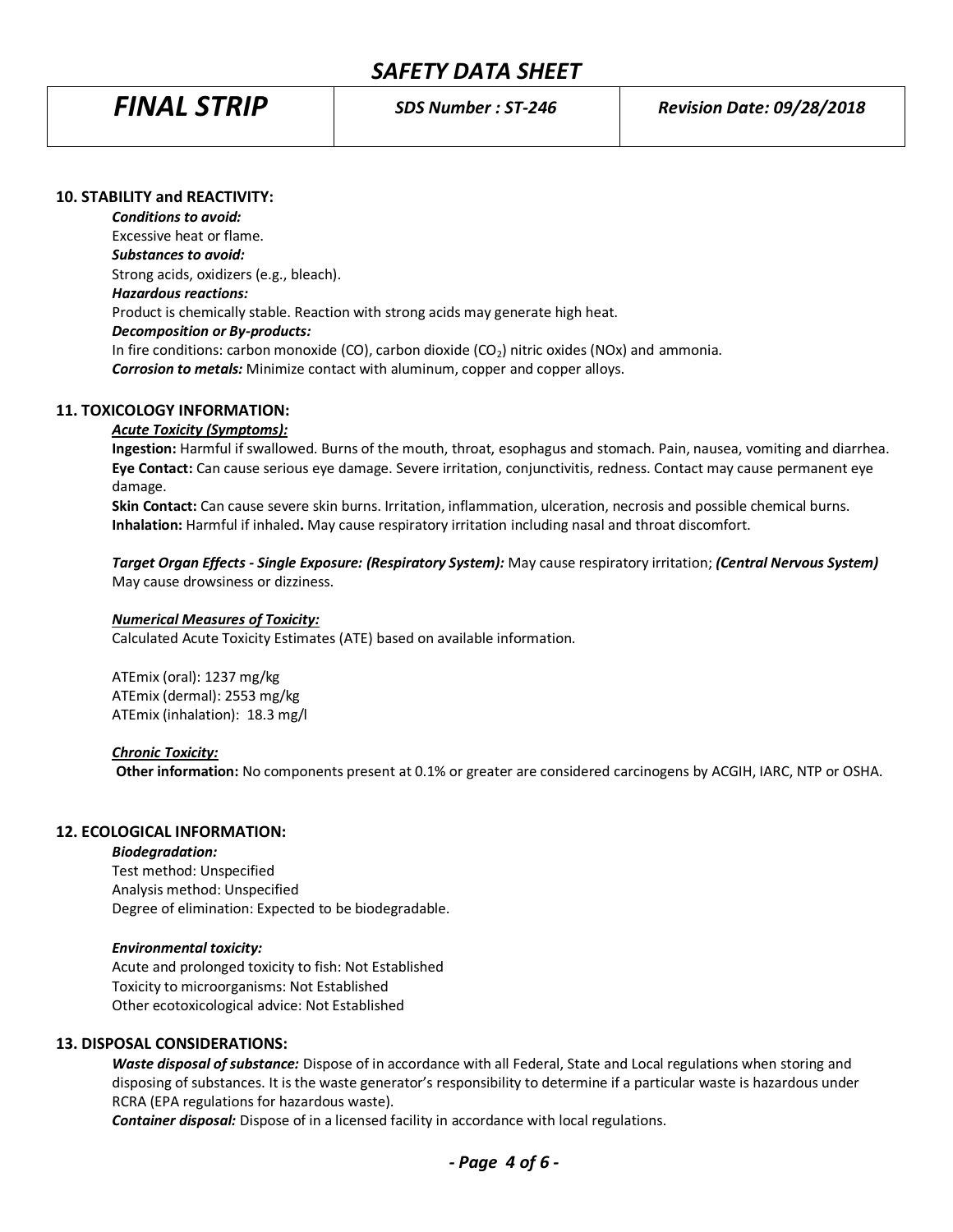### **10. STABILITY and REACTIVITY:**

*Conditions to avoid:* Excessive heat or flame. *Substances to avoid:* Strong acids, oxidizers (e.g., bleach). *Hazardous reactions:* Product is chemically stable. Reaction with strong acids may generate high heat. *Decomposition or By-products:* In fire conditions: carbon monoxide (CO), carbon dioxide (CO<sub>2</sub>) nitric oxides (NOx) and ammonia. *Corrosion to metals:* Minimize contact with aluminum, copper and copper alloys.

# **11. TOXICOLOGY INFORMATION:**

#### *Acute Toxicity (Symptoms):*

**Ingestion:** Harmful if swallowed. Burns of the mouth, throat, esophagus and stomach. Pain, nausea, vomiting and diarrhea. **Eye Contact:** Can cause serious eye damage. Severe irritation, conjunctivitis, redness. Contact may cause permanent eye damage.

**Skin Contact:** Can cause severe skin burns. Irritation, inflammation, ulceration, necrosis and possible chemical burns. **Inhalation:** Harmful if inhaled**.** May cause respiratory irritation including nasal and throat discomfort.

*Target Organ Effects - Single Exposure: (Respiratory System):* May cause respiratory irritation; *(Central Nervous System)* May cause drowsiness or dizziness.

### *Numerical Measures of Toxicity:*

Calculated Acute Toxicity Estimates (ATE) based on available information.

ATEmix (oral): 1237 mg/kg ATEmix (dermal): 2553 mg/kg ATEmix (inhalation): 18.3 mg/l

#### *Chronic Toxicity:*

 **Other information:** No components present at 0.1% or greater are considered carcinogens by ACGIH, IARC, NTP or OSHA.

### **12. ECOLOGICAL INFORMATION:**

#### *Biodegradation:*

Test method: Unspecified Analysis method: Unspecified Degree of elimination: Expected to be biodegradable.

#### *Environmental toxicity:*

Acute and prolonged toxicity to fish: Not Established Toxicity to microorganisms: Not Established Other ecotoxicological advice: Not Established

# **13. DISPOSAL CONSIDERATIONS:**

*Waste disposal of substance:* Dispose of in accordance with all Federal, State and Local regulations when storing and disposing of substances. It is the waste generator's responsibility to determine if a particular waste is hazardous under RCRA (EPA regulations for hazardous waste).

*Container disposal:* Dispose of in a licensed facility in accordance with local regulations.

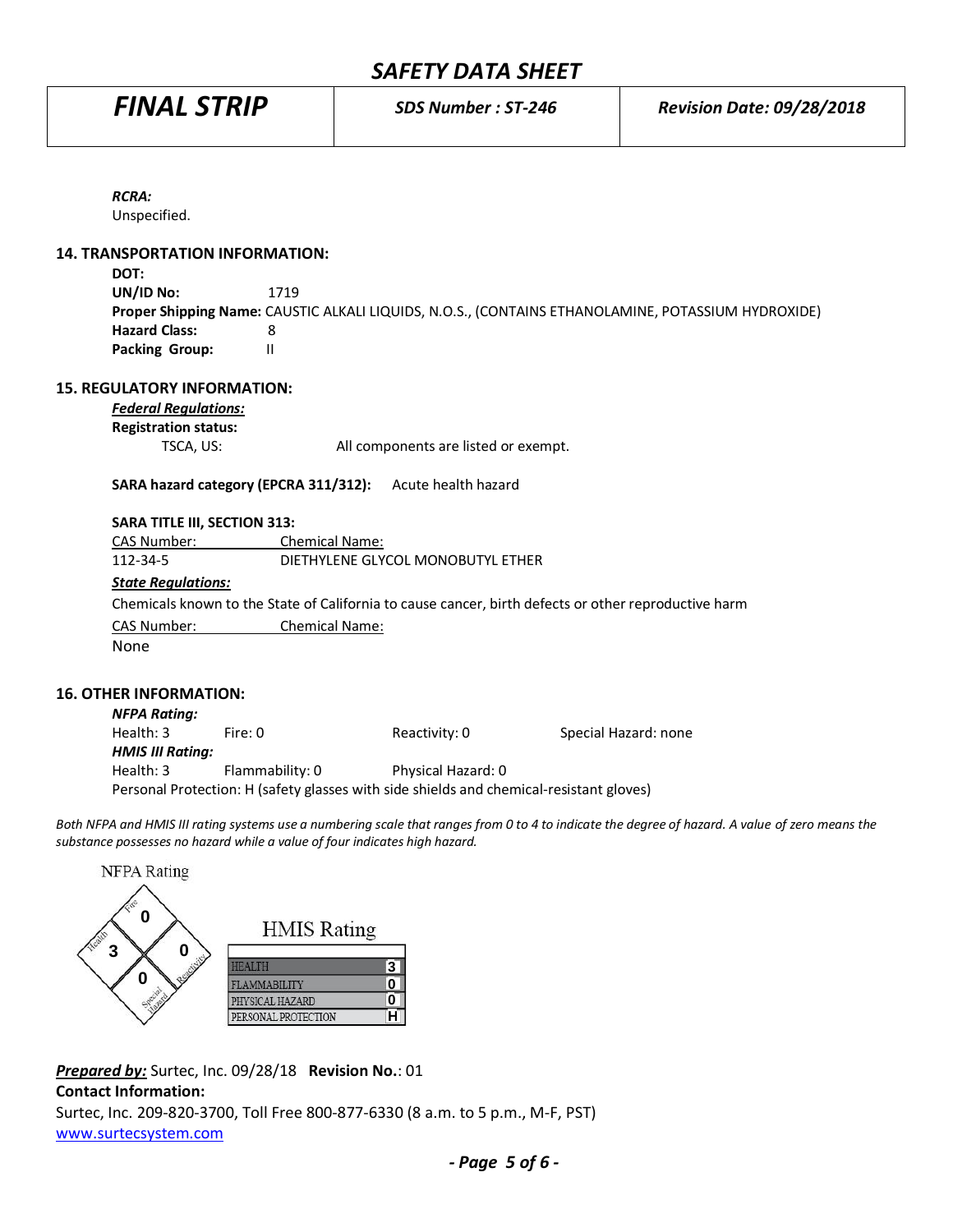| <b>RCRA:</b>                           |                                                                                                      |
|----------------------------------------|------------------------------------------------------------------------------------------------------|
| Unspecified.                           |                                                                                                      |
| <b>14. TRANSPORTATION INFORMATION:</b> |                                                                                                      |
| DOT:                                   |                                                                                                      |
| UN/ID No:                              | 1719                                                                                                 |
|                                        | Proper Shipping Name: CAUSTIC ALKALI LIQUIDS, N.O.S., (CONTAINS ETHANOLAMINE, POTASSIUM HYDROXIDE)   |
| <b>Hazard Class:</b>                   | 8                                                                                                    |
| <b>Packing Group:</b>                  | $\mathbf{H}$                                                                                         |
| <b>15. REGULATORY INFORMATION:</b>     |                                                                                                      |
| <b>Federal Regulations:</b>            |                                                                                                      |
| <b>Registration status:</b>            |                                                                                                      |
| TSCA, US:                              | All components are listed or exempt.                                                                 |
|                                        | SARA hazard category (EPCRA 311/312):<br>Acute health hazard                                         |
|                                        |                                                                                                      |
| <b>SARA TITLE III, SECTION 313:</b>    |                                                                                                      |
| CAS Number:                            | <b>Chemical Name:</b>                                                                                |
| 112-34-5                               | DIETHYLENE GLYCOL MONOBUTYL ETHER                                                                    |
| <b>State Regulations:</b>              |                                                                                                      |
|                                        | Chemicals known to the State of California to cause cancer, birth defects or other reproductive harm |
| CAS Number:                            | Chemical Name:                                                                                       |
| None                                   |                                                                                                      |
|                                        |                                                                                                      |
|                                        |                                                                                                      |

#### **16. OTHER INFORMATION:**

| <b>NFPA Rating:</b>     |                                                                                         |                    |                      |
|-------------------------|-----------------------------------------------------------------------------------------|--------------------|----------------------|
| Health: 3               | Fire: 0                                                                                 | Reactivity: 0      | Special Hazard: none |
| <b>HMIS III Rating:</b> |                                                                                         |                    |                      |
| Health: 3               | Flammability: 0                                                                         | Physical Hazard: 0 |                      |
|                         | Personal Protection: H (safety glasses with side shields and chemical-resistant gloves) |                    |                      |

*Both NFPA and HMIS III rating systems use a numbering scale that ranges from 0 to 4 to indicate the degree of hazard. A value of zero means the substance possesses no hazard while a value of four indicates high hazard.*



*Prepared by:* Surtec, Inc. 09/28/18 **Revision No.**: 01 **Contact Information:** Surtec, Inc. 209-820-3700, Toll Free 800-877-6330 (8 a.m. to 5 p.m., M-F, PST) [www.surtecsystem.com](http://www.surtecsystem.com/)

*- Page 5 of 6 -*